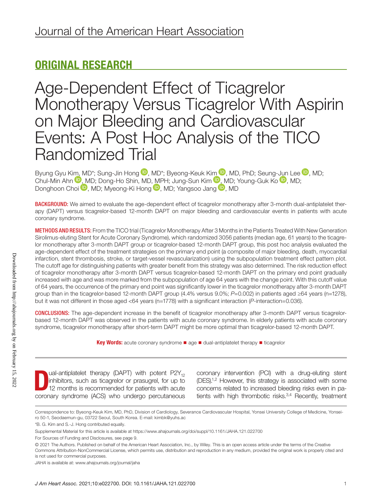# ORIGINAL RESEARCH

Age-Dependent Effect of Ticagrelor Monotherapy Versus Ticagrelor With Aspirin on Major Bleeding and Cardiovascular Events: A Post Hoc Analysis of the TICO Randomized Trial

Byung Gyu K[im, M](https://orcid.org/0000-0002-7071-4370)D\*; Sung-Jin Hong  $\blacksquare$ [,](https://orcid.org/0000-0002-9201-4818) MD\*; Byeong-Keuk K[im](https://orcid.org/0000-0003-2263-3274)  $\blacksquare$ , MD, PhD; Seung-[Jun](https://orcid.org/0000-0001-7748-5788) Lee  $\blacksquare$ , MD; Chul-Min Ahn  $\mathbb{U},$  MD; Dong-Ho Shin[, M](https://orcid.org/0000-0002-2169-3112)D[, MP](https://orcid.org/0000-0002-2090-2031)H; Jung-Sun Kim  $\mathbb{U},$  MD; Young-Guk Ko  $\mathbb{U},$  MD; Donghoon Choi <sup>(D</sup>, MD; Myeong-Ki Hong <sup>(D</sup>, MD; Yangsoo Jang <sup>(D</sup>, MD)

BACKGROUND: We aimed to evaluate the age-dependent effect of ticagrelor monotherapy after 3-month dual-antiplatelet therapy (DAPT) versus ticagrelor-based 12-month DAPT on major bleeding and cardiovascular events in patients with acute coronary syndrome.

METHODS AND RESULTS: From the TICO trial (Ticagrelor Monotherapy After 3 Months in the Patients Treated With New Generation Sirolimus-eluting Stent for Acute Coronary Syndrome), which randomized 3056 patients (median age, 61 years) to the ticagrelor monotherapy after 3-month DAPT group or ticagrelor-based 12-month DAPT group, this post hoc analysis evaluated the age-dependent effect of the treatment strategies on the primary end point (a composite of major bleeding, death, myocardial infarction, stent thrombosis, stroke, or target-vessel revascularization) using the subpopulation treatment effect pattern plot. The cutoff age for distinguishing patients with greater benefit from this strategy was also determined. The risk reduction effect of ticagrelor monotherapy after 3-month DAPT versus ticagrelor-based 12-month DAPT on the primary end point gradually increased with age and was more marked from the subpopulation of age 64 years with the change point. With this cutoff value of 64 years, the occurrence of the primary end point was significantly lower in the ticagrelor monotherapy after 3-month DAPT group than in the ticagrelor-based 12-month DAPT group (4.4% versus 9.0%; *P*=0.002) in patients aged ≥64 years (n=1278), but it was not different in those aged <64 years (n=1778) with a significant interaction (*P*-interaction=0.036).

CONCLUSIONS: The age-dependent increase in the benefit of ticagrelor monotherapy after 3-month DAPT versus ticagrelorbased 12-month DAPT was observed in the patients with acute coronary syndrome. In elderly patients with acute coronary syndrome, ticagrelor monotherapy after short-term DAPT might be more optimal than ticagrelor-based 12-month DAPT.

Key Words: acute coronary syndrome ■ age ■ dual-antiplatelet therapy ■ ticagrelor

**D** ual-antiplatelet therapy (DAPT) with potent P2Y<sub>12</sub> inhibitors, such as ticagrelor or prasugrel, for up to 12 months is recommended for patients with acute coronary syndrome (ACS) who undergo percutaneous ual-antiplatelet therapy (DAPT) with potent  $P2Y_{12}$ inhibitors, such as ticagrelor or prasugrel, for up to 12 months is recommended for patients with acute

coronary intervention (PCI) with a drug-eluting stent  $(DES)^{1,2}$  However, this strategy is associated with some concerns related to increased bleeding risks even in patients with high thrombotic risks.<sup>3,4</sup> Recently, treatment

Correspondence to: Byeong-Keuk Kim, MD, PhD, Division of Cardiology, Severance Cardiovascular Hospital, Yonsei University College of Medicine, Yonseiro 50-1, Seodaemun-gu, 03722 Seoul, South Korea. E-mail: [kimbk@yuhs.ac](mailto:kimbk@yuhs.ac)

<sup>\*</sup>B. G. Kim and S.-J. Hong contributed equally.

Supplemental Material for this article is available at<https://www.ahajournals.org/doi/suppl/10.1161/JAHA.121.022700>

For Sources of Funding and Disclosures, see page 9.

<sup>© 2021</sup> The Authors. Published on behalf of the American Heart Association, Inc., by Wiley. This is an open access article under the terms of the [Creative](http://creativecommons.org/licenses/by-nc/4.0/)  [Commons Attribution-NonCommercial](http://creativecommons.org/licenses/by-nc/4.0/) License, which permits use, distribution and reproduction in any medium, provided the original work is properly cited and is not used for commercial purposes.

*JAHA* is available at: [www.ahajournals.org/journal/jaha](https://www.ahajournals.org/journal/jaha)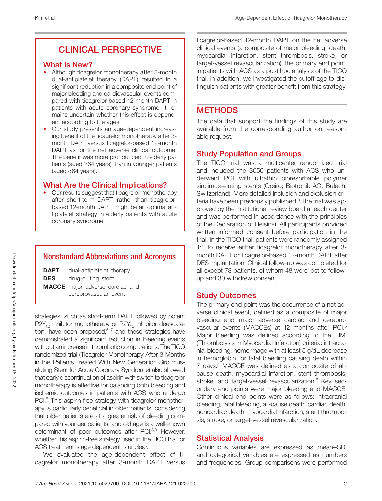# CLINICAL PERSPECTIVE

#### What Is New?

- Although ticagrelor monotherapy after 3-month dual-antiplatelet therapy (DAPT) resulted in a significant reduction in a composite end point of major bleeding and cardiovascular events compared with ticagrelor-based 12-month DAPT in patients with acute coronary syndrome, it remains uncertain whether this effect is dependent according to the ages.
- Our study presents an age-dependent increasing benefit of the ticagrelor monotherapy after 3 month DAPT versus ticagrelor-based 12-month DAPT as for the net adverse clinical outcome. The benefit was more pronounced in elderly patients (aged ≥64 years) than in younger patients (aged <64 years).

#### What Are the Clinical Implications?

• Our results suggest that ticagrelor monotherapy after short-term DAPT, rather than ticagrelorbased 12-month DAPT, might be an optimal antiplatelet strategy in elderly patients with acute coronary syndrome.

## Nonstandard Abbreviations and Acronyms

DAPT dual-antiplatelet therapy

DES drug-eluting stent

MACCE major adverse cardiac and cerebrovascular event

strategies, such as short-term DAPT followed by potent  $P2Y_{12}$  inhibitor monotherapy or  $P2Y_{12}$  inhibitor deescalation, have been proposed, $5-7$  and these strategies have demonstrated a significant reduction in bleeding events without an increase in thrombotic complications. The TICO randomized trial (Ticagrelor Monotherapy After 3 Months in the Patients Treated With New Generation Sirolimuseluting Stent for Acute Coronary Syndrome) also showed that early discontinuation of aspirin with switch to ticagrelor monotherapy is effective for balancing both bleeding and ischemic outcomes in patients with ACS who undergo PCI.<sup>5</sup> This aspirin-free strategy with ticagrelor monotherapy is particularly beneficial in older patients, considering that older patients are at a greater risk of bleeding compared with younger patients, and old age is a well-known determinant of poor outcomes after PCI.<sup>8,9</sup> However, whether this aspirin-free strategy used in the TICO trial for ACS treatment is age dependent is unclear.

We evaluated the age-dependent effect of ticagrelor monotherapy after 3-month DAPT versus

ticagrelor-based 12-month DAPT on the net adverse clinical events (a composite of major bleeding, death, myocardial infarction, stent thrombosis, stroke, or target-vessel revascularization), the primary end point, in patients with ACS as a post hoc analysis of the TICO trial. In addition, we investigated the cutoff age to distinguish patients with greater benefit from this strategy.

## **METHODS**

The data that support the findings of this study are available from the corresponding author on reasonable request.

### Study Population and Groups

The TICO trial was a multicenter randomized trial and included the 3056 patients with ACS who underwent PCI with ultrathin bioresorbable polymer sirolimus-eluting stents (Orsiro; Biotronik AG, Bülach, Switzerland). More detailed inclusion and exclusion criteria have been previously published.<sup>5</sup> The trial was approved by the institutional review board at each center and was performed in accordance with the principles of the Declaration of Helsinki. All participants provided written informed consent before participation in the trial. In the TICO trial, patients were randomly assigned 1:1 to receive either ticagrelor monotherapy after 3 month DAPT or ticagrelor-based 12-month DAPT after DES implantation. Clinical follow-up was completed for all except 78 patients, of whom 48 were lost to followup and 30 withdrew consent.

#### Study Outcomes

The primary end point was the occurrence of a net adverse clinical event, defined as a composite of major bleeding and major adverse cardiac and cerebrovascular events (MACCEs) at 12 months after PCI.<sup>5</sup> Major bleeding was defined according to the TIMI (Thrombolysis in Myocardial Infarction) criteria: intracranial bleeding, hemorrhage with at least 5 g/dL decrease in hemoglobin, or fatal bleeding causing death within 7 days.<sup>5</sup> MACCE was defined as a composite of allcause death, myocardial infarction, stent thrombosis, stroke, and target-vessel revascularization.<sup>5</sup> Key secondary end points were major bleeding and MACCE. Other clinical end points were as follows: intracranial bleeding, fatal bleeding, all-cause death, cardiac death, noncardiac death, myocardial infarction, stent thrombosis, stroke, or target-vessel revascularization.

#### Statistical Analysis

Continuous variables are expressed as mean±SD, and categorical variables are expressed as numbers and frequencies. Group comparisons were performed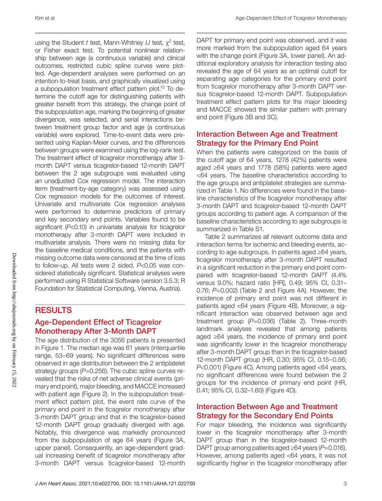using the Student *t* test, Mann-Whitney *U* test, χ2 test, or Fisher exact test. To potential nonlinear relationship between age (a continuous variable) and clinical outcomes, restricted cubic spline curves were plotted. Age-dependent analyses were performed on an intention-to-treat basis, and graphically visualized using a subpopulation treatment effect pattern plot.10 To determine the cutoff age for distinguishing patients with greater benefit from this strategy, the change point of the subpopulation age, marking the beginning of greater divergence, was selected, and serial interactions between treatment group factor and age (a continuous variable) were explored. Time-to-event data were presented using Kaplan-Meier curves, and the differences between groups were examined using the log-rank test. The treatment effect of ticagrelor monotherapy after 3 month DAPT versus ticagrelor-based 12-month DAPT between the 2 age subgroups was evaluated using an unadjusted Cox regression model. The interaction term (treatment-by-age category) was assessed using Cox regression models for the outcomes of interest. Univariate and multivariate Cox regression analyses were performed to determine predictors of primary and key secondary end points. Variables found to be significant (*P*<0.10) in univariate analysis for ticagrelor monotherapy after 3-month DAPT were included in multivariate analysis. There were no missing data for the baseline medical conditions, and the patients with missing outcome data were censored at the time of loss to follow-up. All tests were 2 sided. *P*<0.05 was considered statistically significant. Statistical analyses were performed using R Statistical Software (version 3.5.3; R Foundation for Statistical Computing, Vienna, Austria).

## **RESULTS**

## Age-Dependent Effect of Ticagrelor Monotherapy After 3-Month DAPT

The age distribution of the 3056 patients is presented in Figure 1. The median age was 61 years (interquartile range, 53–69 years). No significant differences were observed in age distribution between the 2 antiplatelet strategy groups (P=0.256). The cubic spline curves revealed that the risks of net adverse clinical events (primary end point), major bleeding, and MACCE increased with patient age (Figure 2). In the subpopulation treatment effect pattern plot, the event rate curve of the primary end point in the ticagrelor monotherapy after 3-month DAPT group and that in the ticagrelor-based 12-month DAPT group gradually diverged with age. Notably, this divergence was markedly pronounced from the subpopulation of age 64 years (Figure 3A, upper panel). Consequently, an age-dependent gradual increasing benefit of ticagrelor monotherapy after 3-month DAPT versus ticagrelor-based 12-month

DAPT for primary end point was observed, and it was more marked from the subpopulation aged 64 years with the change point (Figure 3A, lower panel). An additional exploratory analysis for interaction testing also revealed the age of 64 years as an optimal cutoff for separating age categories for the primary end point from ticagrelor monotherapy after 3-month DAPT versus ticagrelor-based 12-month DAPT. Subpopulation treatment effect pattern plots for the major bleeding and MACCE showed the similar pattern with primary end point (Figure 3B and 3C).

#### Interaction Between Age and Treatment Strategy for the Primary End Point

When the patients were categorized on the basis of the cutoff age of 64 years, 1278 (42%) patients were aged ≥64 years and 1778 (58%) patients were aged <64 years. The baseline characteristics according to the age groups and antiplatelet strategies are summarized in Table 1. No differences were found in the baseline characteristics of the ticagrelor monotherapy after 3-month DAPT and ticagrelor-based 12-month DAPT groups according to patient age. A comparison of the baseline characteristics according to age subgroups is summarized in Table S1.

Table 2 summarizes all relevant outcome data and interaction terms for ischemic and bleeding events, according to age subgroups. In patients aged ≥64 years, ticagrelor monotherapy after 3-month DAPT resulted in a significant reduction in the primary end point compared with ticagrelor-based 12-month DAPT (4.4% versus 9.0%; hazard ratio [HR], 0.49; 95% CI, 0.31– 0.76; *P*=0.002) (Table 2 and Figure 4A). However, the incidence of primary end point was not different in patients aged <64 years (Figure 4B). Moreover, a significant interaction was observed between age and treatment group (*P*=0.036) (Table 2). Three-month landmark analyses revealed that among patients aged ≥64 years, the incidence of primary end point was significantly lower in the ticagrelor monotherapy after 3-month DAPT group than in the ticagrelor-based 12-month DAPT group (HR, 0.30; 95% CI, 0.15–0.56; *P*<0.001) (Figure 4C). Among patients aged <64 years, no significant differences were found between the 2 groups for the incidence of primary end point (HR, 0.41; 95% CI, 0.32–1.60) (Figure 4D).

#### Interaction Between Age and Treatment Strategy for the Secondary End Points

For major bleeding, the incidence was significantly lower in the ticagrelor monotherapy after 3-month DAPT group than in the ticagrelor-based 12-month DAPT group among patients aged ≥64 years (*P*=0.016). However, among patients aged <64 years, it was not significantly higher in the ticagrelor monotherapy after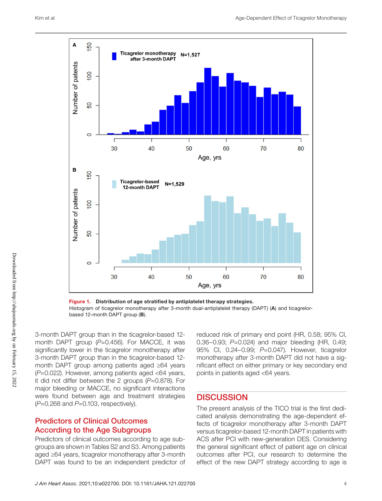

Figure 1. Distribution of age stratified by antiplatelet therapy strategies. Histogram of ticagrelor monotherapy after 3-month dual-antiplatelet therapy (DAPT) (A) and ticagrelorbased 12-month DAPT group (B).

3-month DAPT group than in the ticagrelor-based 12 month DAPT group (P=0.456). For MACCE, it was significantly lower in the ticagrelor monotherapy after 3-month DAPT group than in the ticagrelor-based 12 month DAPT group among patients aged ≥64 years (*P*=0.022). However, among patients aged <64 years, it did not differ between the 2 groups (*P*=0.878). For major bleeding or MACCE, no significant interactions were found between age and treatment strategies (*P*=0.268 and *P*=0.103, respectively).

## Predictors of Clinical Outcomes According to the Age Subgroups

Predictors of clinical outcomes according to age subgroups are shown in Tables S2 and S3. Among patients aged ≥64 years, ticagrelor monotherapy after 3-month DAPT was found to be an independent predictor of reduced risk of primary end point (HR, 0.58; 95% CI, 0.36–0.93; *P*=0.024) and major bleeding (HR, 0.49; 95% CI, 0.24–0.99; *P*=0.047). However, ticagrelor monotherapy after 3-month DAPT did not have a significant effect on either primary or key secondary end points in patients aged <64 years.

#### **DISCUSSION**

The present analysis of the TICO trial is the first dedicated analysis demonstrating the age-dependent effects of ticagrelor monotherapy after 3-month DAPT versus ticagrelor-based 12-month DAPT in patients with ACS after PCI with new-generation DES. Considering the general significant effect of patient age on clinical outcomes after PCI, our research to determine the effect of the new DAPT strategy according to age is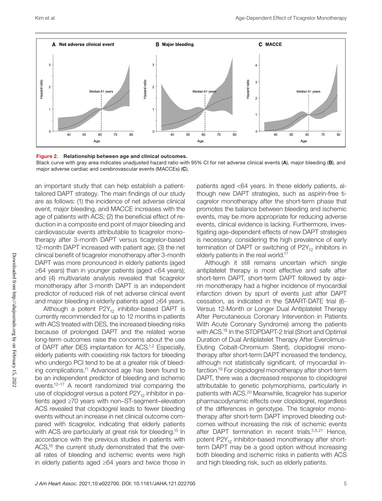



Black curve with gray area indicates unadjusted hazard ratio with 95% CI for net adverse clinical events (A), major bleeding (B), and major adverse cardiac and cerebrovascular events (MACCEs) (C).

an important study that can help establish a patienttailored DAPT strategy. The main findings of our study are as follows: (1) the incidence of net adverse clinical event, major bleeding, and MACCE increases with the age of patients with ACS; (2) the beneficial effect of reduction in a composite end point of major bleeding and cardiovascular events attributable to ticagrelor monotherapy after 3-month DAPT versus ticagrelor-based 12-month DAPT increased with patient age; (3) the net clinical benefit of ticagrelor monotherapy after 3-month DAPT was more pronounced in elderly patients (aged ≥64 years) than in younger patients (aged <64 years); and (4) multivariate analysis revealed that ticagrelor monotherapy after 3-month DAPT is an independent predictor of reduced risk of net adverse clinical event and major bleeding in elderly patients aged ≥64 years.

Although a potent  $P2Y_{12}$  inhibitor-based DAPT is currently recommended for up to 12 months in patients with ACS treated with DES, the increased bleeding risks because of prolonged DAPT and the related worse long-term outcomes raise the concerns about the use of DAPT after DES implantation for ACS.1,2 Especially, elderly patients with coexisting risk factors for bleeding who undergo PCI tend to be at a greater risk of bleeding complications.11 Advanced age has been found to be an independent predictor of bleeding and ischemic events.12–17 A recent randomized trial comparing the use of clopidogrel versus a potent  $P2Y_{12}$  inhibitor in patients aged ≥70 years with non–ST-segment–elevation ACS revealed that clopidogrel leads to fewer bleeding events without an increase in net clinical outcome compared with ticagrelor, indicating that elderly patients with ACS are particularly at great risk for bleeding.<sup>15</sup> In accordance with the previous studies in patients with ACS,<sup>16</sup> the current study demonstrated that the overall rates of bleeding and ischemic events were high in elderly patients aged ≥64 years and twice those in

patients aged <64 years. In these elderly patients, although new DAPT strategies, such as aspirin-free ticagrelor monotherapy after the short-term phase that promotes the balance between bleeding and ischemic events, may be more appropriate for reducing adverse events, clinical evidence is lacking. Furthermore, investigating age-dependent effects of new DAPT strategies is necessary, considering the high prevalence of early termination of DAPT or switching of  $P2Y_{12}$  inhibitors in elderly patients in the real world.<sup>17</sup>

Although it still remains uncertain which single antiplatelet therapy is most effective and safe after short-term DAPT, short-term DAPT followed by aspirin monotherapy had a higher incidence of myocardial infarction driven by spurt of events just after DAPT cessation, as indicated in the SMART-DATE trial (6- Versus 12-Month or Longer Dual Antiplatelet Therapy After Percutaneous Coronary Intervention in Patients With Acute Coronary Syndrome) among the patients with ACS.<sup>18</sup> In the STOPDAPT-2 trial (Short and Optimal Duration of Dual Antiplatelet Therapy After Everolimus-Eluting Cobalt-Chromium Stent), clopidogrel monotherapy after short-term DAPT increased the tendency, although not statistically significant, of myocardial infarction.19 For clopidogrel monotherapy after short-term DAPT, there was a decreased response to clopidogrel attributable to genetic polymorphisms, particularly in patients with ACS.<sup>20</sup> Meanwhile, ticagrelor has superior pharmacodynamic effects over clopidogrel, regardless of the differences in genotype. The ticagrelor monotherapy after short-term DAPT improved bleeding outcomes without increasing the risk of ischemic events after DAPT termination in recent trials.<sup>5,6,21</sup> Hence, potent  $P2Y_{12}$  inhibitor-based monotherapy after shortterm DAPT may be a good option without increasing both bleeding and ischemic risks in patients with ACS and high bleeding risk, such as elderly patients.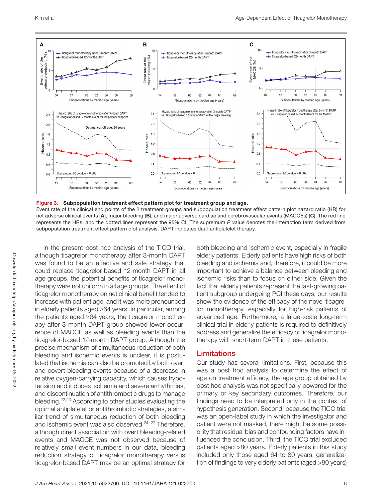

Figure 3. Subpopulation treatment effect pattern plot for treatment group and age.

Event rate of the clinical end points of the 2 treatment groups and subpopulation treatment effect pattern plot hazard ratio (HR) for net adverse clinical events (A), major bleeding (B), and major adverse cardiac and cerebrovascular events (MACCEs) (C). The red line represents the HRs, and the dotted lines represent the 95% CI. The supremum *P* value denotes the interaction term derived from subpopulation treatment effect pattern plot analysis. DAPT indicates dual-antiplatelet therapy.

In the present post hoc analysis of the TICO trial, although ticagrelor monotherapy after 3-month DAPT was found to be an effective and safe strategy that could replace ticagrelor-based 12-month DAPT in all age groups, the potential benefits of ticagrelor monotherapy were not uniform in all age groups. The effect of ticagrelor monotherapy on net clinical benefit tended to increase with patient age, and it was more pronounced in elderly patients aged ≥64 years. In particular, among the patients aged ≥64 years, the ticagrelor monotherapy after 3-month DAPT group showed lower occurrence of MACCE as well as bleeding events than the ticagrelor-based 12-month DAPT group. Although the precise mechanism of simultaneous reduction of both bleeding and ischemic events is unclear, it is postulated that ischemia can also be promoted by both overt and covert bleeding events because of a decrease in relative oxygen-carrying capacity, which causes hypotension and induces ischemia and severe arrhythmias, and discontinuation of antithrombotic drugs to manage bleeding.22,23 According to other studies evaluating the optimal antiplatelet or antithrombotic strategies, a similar trend of simultaneous reduction of both bleeding and ischemic event was also observed.<sup>24-27</sup> Therefore, although direct association with overt bleeding-related events and MACCE was not observed because of relatively small event numbers in our data, bleeding reduction strategy of ticagrelor monotherapy versus ticagrelor-based DAPT may be an optimal strategy for

both bleeding and ischemic event, especially in fragile elderly patients. Elderly patients have high risks of both bleeding and ischemia and, therefore, it could be more important to achieve a balance between bleeding and ischemic risks than to focus on either side. Given the fact that elderly patients represent the fast-growing patient subgroup undergoing PCI these days, our results show the evidence of the efficacy of the novel ticagrelor monotherapy, especially for high-risk patients of advanced age. Furthermore, a large-scale long-term clinical trial in elderly patients is required to definitively address and generalize the efficacy of ticagrelor monotherapy with short-term DAPT in these patients.

#### Limitations

Our study has several limitations. First, because this was a post hoc analysis to determine the effect of age on treatment efficacy, the age group obtained by post hoc analysis was not specifically powered for the primary or key secondary outcomes. Therefore, our findings need to be interpreted only in the context of hypothesis generation. Second, because the TICO trial was an open-label study in which the investigator and patient were not masked, there might be some possibility that residual bias and confounding factors have influenced the conclusion. Third, the TICO trial excluded patients aged >80 years. Elderly patients in this study included only those aged 64 to 80 years; generalization of findings to very elderly patients (aged >80 years)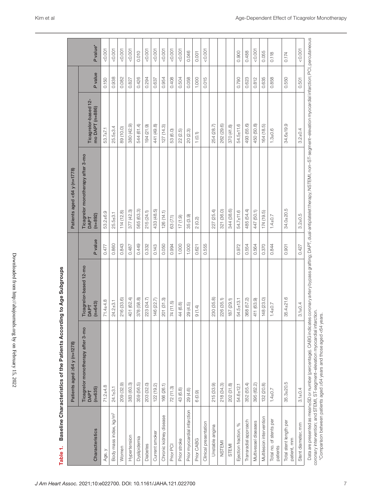|                                       | Patients aged $\geq$ 64 y (n=1278)                     |                                                    |         | Patients aged <64 y (n=1778)                           |                                         |         |                      |
|---------------------------------------|--------------------------------------------------------|----------------------------------------------------|---------|--------------------------------------------------------|-----------------------------------------|---------|----------------------|
| Characteristics                       | Ticagrelor monotherapy after 3-mo<br>$(n=635)$<br>DAPT | Ticagrelor-based 12-mo<br>$(n=643)$<br><b>DAPT</b> | P value | Ticagrelor monotherapy after 3-mo<br>$(n=892)$<br>DAPT | Ticagrelor-based 12-<br>mo DAPT (n=886) | P value | P value <sup>*</sup> |
| Age, y                                | $71.2 + 4.8$                                           | $71.4 + 4.8$                                       | 0.477   | 53.2±6.9                                               | 53.7±7.1                                | 0.150   | 0.001                |
| Body mass index, kg/m <sup>2</sup>    | $24.1 + 3.1$                                           | $24.2 + 3.1$                                       | 0.860   | $25.5 + 3.1$                                           | $25.5 + 3.4$                            | 0.938   | 0.001                |
| Women                                 | 209 (32.9)                                             | 216 (33.6)                                         | 0.843   | 114(12.8)                                              | 89 (10.0)                               | 0.082   | 0.001                |
| Hypertension                          | 383 (60.3)                                             | 401 (62.4)                                         | 0.487   | 377 (42.3)                                             | 380 (42.9)                              | 0.827   | 0.001                |
| Dyslipidemia                          | 359 (56.5)                                             | 378 (58.8)                                         | 0.449   | 565 (63.3)                                             | 544 (61.4)                              | 0.426   | 0.010                |
| <b>Diabetes</b>                       | 203 (32.0)                                             | 223 (34.7)                                         | 0.332   | 215 (24.1)                                             | 194 (21.9)                              | 0.294   | 0.001                |
| Current smoker                        | 122(19.2)                                              | 146 (22.7)                                         | 0.143   | 433 (48.5)                                             | 441 (49.8)                              | 0.637   | 0.001                |
| Chronic kidney disease                | 166 (26.1)                                             | 201 (31.3)                                         | 0.050   | 126(14.1)                                              | 127(14.3)                               | 0.954   | < 0.001              |
| Prior PC                              | 72(11.3)                                               | 74 (11.5)                                          | 0.994   | 63 (7.1)                                               | 53 (6.0)                                | 0.408   | 0.001                |
| Prior stroke                          | 43 (6.8)                                               | 44 (6.8)                                           | 1.000   | 17(1.9)                                                | 22 (2.5)                                | 0.504   | 0.001                |
| Prior myocardial infarction           | 29 (4.6)                                               | 29(4.5)                                            | 1.000   | 35 (3.9)                                               | 20 (2.3)                                | 0.058   | 0.046                |
| Prior CABG                            | 6(0.9)                                                 | 9(1.4)                                             | 0.621   | 2(0.2)                                                 | 1(0.1)                                  | 1.000   | 0.001                |
| Clinical presentation                 |                                                        |                                                    | 0.555   |                                                        |                                         | 0.015   | < 0.001              |
| Unstable angina                       | 215 (33.9)                                             | 230 (35.8)                                         |         | 227 (25.4)                                             | 254 (28.7)                              |         |                      |
| <b>NSTEMI</b>                         | 218 (34.3)                                             | 226 (35.1)                                         |         | 321 (36.0)                                             | 262 (29.6)                              |         |                      |
| <b>STEMI</b>                          | 202 (31.8)                                             | 187 (29.1)                                         |         | 344 (38.6)                                             | 370 (41.8)                              |         |                      |
| $\%$<br>Ejection fraction,            | 54.6±12.1                                              | 54.5±13.1                                          | 0.972   | 54.7±11.6                                              | $54.5 \pm 11.6$                         | 0.790   | 0.900                |
| Transradial approach                  | 352 (55.4)                                             | 368 (57.2)                                         | 0.554   | 485 (54.4)                                             | 493 (55.6)                              | 0.623   | 0.488                |
| Multivessel diseases                  | 395 (62.2)                                             | 411 (63.9)                                         | 0.564   | 447 (50.1)                                             | 450 (50.8)                              | 0.812   | 0.001                |
| Multilesion intervention              | 132 (20.8)                                             | 148 (23.0)                                         | 0.370   | 174 (19.5)                                             | 164 (18.5)                              | 0.635   | 0.055                |
| Total no. of stents per<br>patients   | $1.4 \pm 0.7$                                          | $1.4 \pm 0.7$                                      | 0.844   | $1.4 \pm 0.7$                                          | $1.3 + 0.6$                             | 0.858   | 0.118                |
| Total stent length per<br>patient, mm | $35.3 + 20.5$                                          | $35.4 + 21.6$                                      | 0.901   | $34.0 + 20.5$                                          | $34.6 + 19.9$                           | 0.550   | 0.174                |
| Stent diameter, mm                    | $3.1 + 0.4$                                            | $3.1 + 0.4$                                        | 0.427   | $3.2 + 0.5$                                            | $3.2 \pm 0.4$                           | 0.501   | 0.001                |

*J Am Heart Assoc.* 2021;10:e022700. DOI: 10.1161/JAHA.121.022700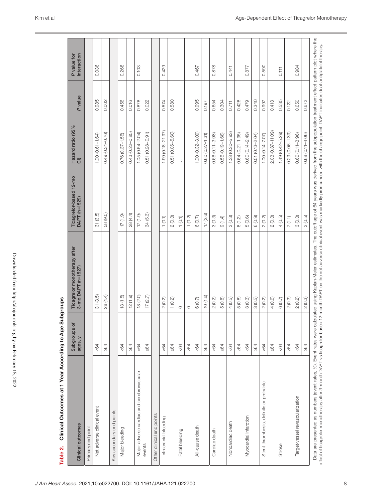| Clinical Outcomes at 1 Year According to Age<br>Table 2.                                                                                                                                                                                                                                                                                                                                                                            |                         | Subgroups                                          |                                         |                          |         |                            |
|-------------------------------------------------------------------------------------------------------------------------------------------------------------------------------------------------------------------------------------------------------------------------------------------------------------------------------------------------------------------------------------------------------------------------------------|-------------------------|----------------------------------------------------|-----------------------------------------|--------------------------|---------|----------------------------|
| Clinical outcomes                                                                                                                                                                                                                                                                                                                                                                                                                   | Subgroups of<br>ages, y | Ticagrelor monotherapy after<br>3-mo DAPT (n=1527) | Ticagrelor-based 12-mo<br>DAPT (n=1529) | Hazard ratio (95%<br>Cl) | P value | P value for<br>interaction |
| Primary end point                                                                                                                                                                                                                                                                                                                                                                                                                   |                         |                                                    |                                         |                          |         |                            |
| Net adverse clinical event                                                                                                                                                                                                                                                                                                                                                                                                          | 584                     | 31(3.5)                                            | 31(3.5)                                 | $1.00(0.61 - 1.64)$      | 0.985   | 0.036                      |
|                                                                                                                                                                                                                                                                                                                                                                                                                                     | $\geq 64$               | 28 (4.4)                                           | 58 (9.0)                                | $0.49(0.31 - 0.76)$      | 0.002   |                            |
| Key secondary end points                                                                                                                                                                                                                                                                                                                                                                                                            |                         |                                                    |                                         |                          |         |                            |
| Major bleeding                                                                                                                                                                                                                                                                                                                                                                                                                      | < 64                    | 13(1.5)                                            | $(6.1)$ $17$                            | $0.76(0.37 - 1.56)$      | 0.456   | 0.268                      |
|                                                                                                                                                                                                                                                                                                                                                                                                                                     | $\geq 64$               | 12(1.9)                                            | 28 (4.4)                                | $0.43(0.22 - 0.85)$      | 0.016   |                            |
| Major adverse cardiac and cerebrovascular                                                                                                                                                                                                                                                                                                                                                                                           | 504                     | 18 (2.0)                                           | 17(1.9)                                 | $1.05(0.54 - 2.04)$      | 0.878   | 0.103                      |
| events                                                                                                                                                                                                                                                                                                                                                                                                                              | $\geq 64$               | 17(2.7)                                            | 34(5.3)                                 | $0.51(0.28 - 0.91)$      | 0.022   |                            |
| Other clinical end points                                                                                                                                                                                                                                                                                                                                                                                                           |                         |                                                    |                                         |                          |         |                            |
| Intracranial bleeding                                                                                                                                                                                                                                                                                                                                                                                                               | < 64                    | 2(0.2)                                             | 1(0.1)                                  | $1.99(0.18 - 21.97)$     | 0.574   | 0.429                      |
|                                                                                                                                                                                                                                                                                                                                                                                                                                     | $\geq 64$               | 1(0.2)                                             | 2(0.3)                                  | $0.51(0.05 - 5.60)$      | 0.580   |                            |
| Fatal bleeding                                                                                                                                                                                                                                                                                                                                                                                                                      | < 64                    | $\circ$                                            | 1(0.1)                                  | ŧ.                       |         |                            |
|                                                                                                                                                                                                                                                                                                                                                                                                                                     | $\geq 64$               | $\circ$                                            | 1(0.2)                                  | ÷                        |         |                            |
| All-cause death                                                                                                                                                                                                                                                                                                                                                                                                                     | < 64                    | 6(0.7)                                             | 6(0.7)                                  | $1.00(0.32 - 3.09)$      | 0.995   | 0.467                      |
|                                                                                                                                                                                                                                                                                                                                                                                                                                     | $\geq 64$               | 10(1.6)                                            | 17(2.6)                                 | $0.60(0.27 - 1.31)$      | 0.197   |                            |
| Cardiac death                                                                                                                                                                                                                                                                                                                                                                                                                       | < 64                    | 2(0.2)                                             | 3(0.3)                                  | $0.66(0.11 - 3.98)$      | 0.654   | 0.878                      |
|                                                                                                                                                                                                                                                                                                                                                                                                                                     | $\geq 64$               | (0.8)<br>LO                                        | 9(1.4)                                  | $0.56(0.19 - 1.68)$      | 0.304   |                            |
| Noncardiac death                                                                                                                                                                                                                                                                                                                                                                                                                    | < 64                    | 4(0.5)                                             | 3(0.3)                                  | $1.33(0.30 - 5.93)$      | 0.711   | 0.441                      |
|                                                                                                                                                                                                                                                                                                                                                                                                                                     | $\geq 64$               | 5(0.8)                                             | 8(1.2)                                  | $0.64(0.21 - 1.95)$      | 0.428   |                            |
| Myocardial infarction                                                                                                                                                                                                                                                                                                                                                                                                               | < 64                    | 3(0.3)                                             | 5(0.6)                                  | $0.60(0.14 - 2.49)$      | 0.479   | 0.877                      |
|                                                                                                                                                                                                                                                                                                                                                                                                                                     | $\geq 64$               | 3(0.5)                                             | 6(0.9)                                  | $0.51(0.13 - 2.04)$      | 0.340   |                            |
| Stent thrombosis, definite or probable                                                                                                                                                                                                                                                                                                                                                                                              | < 64                    | 2(0.2)                                             | 2(0.2)                                  | $1.00(0.14 - Z.07)$      | 0.997   | 0.590                      |
|                                                                                                                                                                                                                                                                                                                                                                                                                                     | $\geq 64$               | 4(0.6)                                             | 2(0.3)                                  | 2.03 (0.37-11.09)        | 0.413   |                            |
| Stroke                                                                                                                                                                                                                                                                                                                                                                                                                              | < 64                    | 6(0.7)                                             | 4(0.5)                                  | $1.49(0.42 - 5.29)$      | 0.535   | 0.111                      |
|                                                                                                                                                                                                                                                                                                                                                                                                                                     | $\geq 64$               | 2(0.3)                                             | 7(1.1)                                  | $0.29(0.06 - 1.39)$      | 0.122   |                            |
| Target-vessel revascularization                                                                                                                                                                                                                                                                                                                                                                                                     | < 64                    | 2(0.2)                                             | 3(0.3)                                  | $0.66(0.11 - 3.96)$      | 0.650   | 0.984                      |
|                                                                                                                                                                                                                                                                                                                                                                                                                                     | $\geq 64$               | 2(0.3)                                             | 3(0.5)                                  | $0.68(0.11 - 4.06)$      | 0.672   |                            |
| Data are presented as numbers (event rates, %). Event rates were calculated using Kaplan-Meier estimates. The cutoff age of 64 years was derived from the subpopulation treatment effect pattern plot where the<br>effect of ticagrelor monotherapy after 3-month DAPT vs ticagrelor-based 12-month DAPT on the net adverse clinical event was markedly pronounced with the change point. DAPT indicates dual-antiplatelet therapy. |                         |                                                    |                                         |                          |         |                            |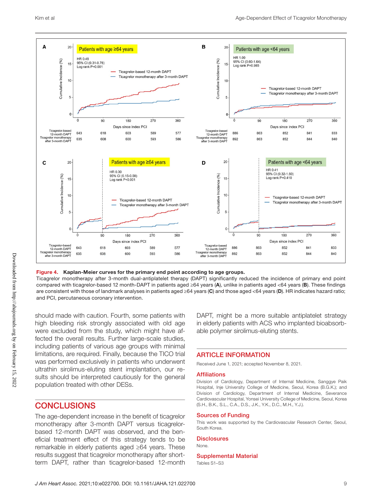

#### Figure 4. Kaplan-Meier curves for the primary end point according to age groups.

Ticagrelor monotherapy after 3-month dual-antiplatelet therapy (DAPT) significantly reduced the incidence of primary end point compared with ticagrelor-based 12 month-DAPT in patients aged ≥64 years (A), unlike in patients aged <64 years (B). These findings are consistent with those of landmark analyses in patients aged ≥64 years (C) and those aged <64 years (D). HR indicates hazard ratio; and PCI, percutaneous coronary intervention.

should made with caution. Fourth, some patients with high bleeding risk strongly associated with old age were excluded from the study, which might have affected the overall results. Further large-scale studies, including patients of various age groups with minimal limitations, are required. Finally, because the TICO trial was performed exclusively in patients who underwent ultrathin sirolimus-eluting stent implantation, our results should be interpreted cautiously for the general population treated with other DESs.

## **CONCLUSIONS**

The age-dependent increase in the benefit of ticagrelor monotherapy after 3-month DAPT versus ticagrelorbased 12-month DAPT was observed, and the beneficial treatment effect of this strategy tends to be remarkable in elderly patients aged ≥64 years. These results suggest that ticagrelor monotherapy after shortterm DAPT, rather than ticagrelor-based 12-month

DAPT, might be a more suitable antiplatelet strategy in elderly patients with ACS who implanted bioabsorbable polymer sirolimus-eluting stents.

#### ARTICLE INFORMATION

Received June 1, 2021; accepted November 8, 2021.

#### Affiliations

Division of Cardiology, Department of Internal Medicine, Sanggye Paik Hospital, Inje University College of Medicine, Seoul, Korea (B.G.K.); and Division of Cardiology, Department of Internal Medicine, Severance Cardiovascular Hospital, Yonsei University College of Medicine, Seoul, Korea (S.H., B.K., S.L., C.A., D.S., J.K., Y.K., D.C., M.H., Y.J.).

#### Sources of Funding

This work was supported by the Cardiovascular Research Center, Seoul, South Korea.

#### **Disclosures**

None.

#### Supplemental Material

Tables S1–S3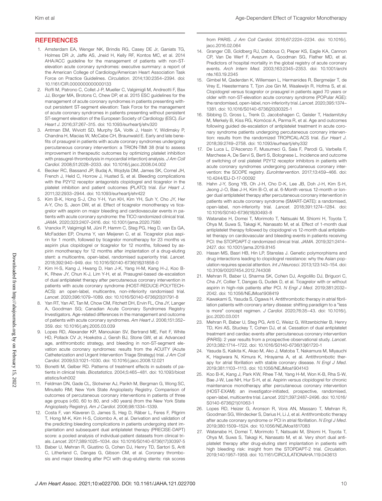#### **REFERENCES**

- 1. Amsterdam EA, Wenger NK, Brindis RG, Casey DE Jr, Ganiats TG, Holmes DR Jr, Jaffe AS, Jneid H, Kelly RF, Kontos MC, et al. 2014 AHA/ACC guideline for the management of patients with non-STelevation acute coronary syndromes: executive summary: a report of the American College of Cardiology/American Heart Association Task Force on Practice Guidelines. *Circulation*. 2014;130:2354–2394. doi: [10.1161/CIR.0000000000000133](https://doi.org/10.1161/CIR.0000000000000133)
- 2. Roffi M, Patrono C, Collet J-P, Mueller C, Valgimigli M, Andreotti F, Bax JJ, Borger MA, Brotons C, Chew DP, et al. 2015 ESC guidelines for the management of acute coronary syndromes in patients presenting without persistent ST-segment elevation: Task Force for the management of acute coronary syndromes in patients presenting without persistent ST-segment elevation of the European Society of Cardiology (ESC). *Eur Heart J*. 2016;37:267–315. doi: [10.1093/eurheartj/ehv320](https://doi.org/10.1093/eurheartj/ehv320)
- 3. Antman EM, Wiviott SD, Murphy SA, Voitk J, Hasin Y, Widimsky P, Chandna H, Macias W, McCabe CH, Braunwald E. Early and late benefits of prasugrel in patients with acute coronary syndromes undergoing percutaneous coronary intervention: a TRION-TIMI 38 (trial to assess improvement in therapeutic outcomes by optimizing platelet inhibition with prasugrel-thrombolysis in myocardial infarction) analysis. *J Am Coll Cardiol*. 2008;51:2028–2033. doi: [10.1016/j.jacc.2008.04.002](https://doi.org/10.1016/j.jacc.2008.04.002)
- 4. Becker RC, Bassand JP, Budaj A, Wojdyla DM, James SK, Cornel JH, French J, Held C, Horrow J, Husted S, et al. Bleeding complications with the P2Y12 receptor antagonists clopidogrel and ticagrelor in the platelet inhibition and patient outcomes (PLATO) trial. *Eur Heart J*. 2011;32:2933–2944. doi: [10.1093/eurheartj/ehr422](https://doi.org/10.1093/eurheartj/ehr422)
- 5. Kim B-K, Hong S-J, Cho Y-H, Yun KH, Kim YH, Suh Y, Cho JY, Her A-Y, Cho S, Jeon DW, et al. Effect of ticagrelor monotherapy vs ticagrelor with aspirin on major bleeding and cardiovascular events in patients with acute coronary syndrome: the TICO randomized clinical trial. *JAMA*. 2020;323:2407–2416. doi: [10.1001/jama.2020.7580](https://doi.org/10.1001/jama.2020.7580)
- 6. Vranckx P, Valgimigli M, Jüni P, Hamm C, Steg PG, Heg D, van Es GA, McFadden EP, Onuma Y, van Meijeren C, et al. Ticagrelor plus aspirin for 1 month, followed by ticagrelor monotherapy for 23 months vs aspirin plus clopidogrel or ticagrelor for 12 months, followed by aspirin monotherapy for 12 months after implantation of a drug-eluting stent: a multicentre, open-label, randomised superiority trial. *Lancet*. 2018;392:940–949. doi: [10.1016/S0140-6736\(18\)31858-0](https://doi.org/10.1016/S0140-6736(18)31858-0)
- 7. Kim H-S, Kang J, Hwang D, Han J-K, Yang H-M, Kang H-J, Koo B-K, Rhew JY, Chun K-J, Lim Y-H, et al. Prasugrel-based de-escalation of dual antiplatelet therapy after percutaneous coronary intervention in patients with acute coronary syndrome (HOST-REDUCE-POLYTECH-ACS): an open-label, multicentre, non-inferiority randomised trial. *Lancet*. 2020;396:1079–1089. doi: [10.1016/S0140-6736\(20\)31791-8](https://doi.org/10.1016/S0140-6736(20)31791-8)
- 8. Yan RT, Yan AT, Tan M, Chow CM, Fitchett DH, Ervin FL, Cha JY, Langer A, Goodman SG; Canadian Acute Coronary Syndromes Registry Investigators. Age-related differences in the management and outcome of patients with acute coronary syndromes. *Am Heart J*. 2006;151:352– 359. doi: [10.1016/j.ahj.2005.03.039](https://doi.org/10.1016/j.ahj.2005.03.039)
- 9. Lopes RD, Alexander KP, Manoukian SV, Bertrand ME, Feit F, White HD, Pollack CV Jr, Hoekstra J, Gersh BJ, Stone GW, et al. Advanced age, antithrombotic strategy, and bleeding in non-ST-segment elevation acute coronary syndromes: results from the ACUITY (Acute Catheterization and Urgent Intervention Triage Strategy) trial. *J Am Coll Cardiol*. 2009;53:1021–1030. doi: [10.1016/j.jacc.2008.12.021](https://doi.org/10.1016/j.jacc.2008.12.021)
- 10. Bonetti M, Gelber RD. Patterns of treatment effects in subsets of patients in clinical trials. *Biostatistics*. 2004;5:465–481. doi: [10.1093/biost](https://doi.org/10.1093/biostatistics/kxh002) [atistics/kxh002](https://doi.org/10.1093/biostatistics/kxh002)
- 11. Feldman DN, Gade CL, Slotwiner AJ, Parikh M, Bergman G, Wong SC, Minutello RM; New York State Angioplasty Registry. Comparison of outcomes of percutaneous coronary interventions in patients of three age groups (<60, 60 to 80, and >80 years) (from the New York State Angioplasty Registry). *Am J Cardiol*. 2006;98:1334–1339.
- 12. Costa F, van Klaveren D, James S, Heg D, Räber L, Feres F, Pilgrim T, Hong M-K, Kim H-S, Colombo A, et al. Derivation and validation of the predicting bleeding complications in patients undergoing stent implantation and subsequent dual antiplatelet therapy (PRECISE-DAPT) score: a pooled analysis of individual-patient datasets from clinical trials. *Lancet*. 2017;389:1025–1034. doi: [10.1016/S0140-6736\(17\)30397-5](https://doi.org/10.1016/S0140-6736(17)30397-5)
- 13. Baber U, Mehran R, Giustino G, Cohen DJ, Henry TD, Sartori S, Ariti C, Litherland C, Dangas G, Gibson CM, et al. Coronary thrombosis and major bleeding after PCI with drug-eluting stents: risk scores

from PARIS. *J Am Coll Cardiol*. 2016;67:2224–2234. doi: [10.1016/j.](https://doi.org/10.1016/j.jacc.2016.02.064) [jacc.2016.02.064](https://doi.org/10.1016/j.jacc.2016.02.064)

- 14. Granger CB, Goldberg RJ, Dabbous O, Pieper KS, Eagle KA, Cannon CP, Van De Werf F, Avezum A, Goodman SG, Flather MD, et al. Predictors of hospital mortality in the global registry of acute coronary events. *Arch Intern Med*. 2003;163:2345–2353. doi: [10.1001/archi](https://doi.org/10.1001/archinte.163.19.2345) [nte.163.19.2345](https://doi.org/10.1001/archinte.163.19.2345)
- 15. Gimbel M, Qaderdan K, Willemsen L, Hermanides R, Bergmeijer T, de Vrey E, Heestermans T, Tjon Joe Gin M, Waalewijn R, Hofma S, et al. Clopidogrel versus ticagrelor or prasugrel in patients aged 70 years or older with non-ST-elevation acute coronary syndrome (POPular AGE): the randomised, open-label, non-inferiority trial. *Lancet*. 2020;395:1374– 1381. doi: [10.1016/S0140-6736\(20\)30325-1](https://doi.org/10.1016/S0140-6736(20)30325-1)
- 16. Sibbing D, Gross L, Trenk D, Jacobshagen C, Geisler T, Hadamitzky M, Merkely B, Kiss RG, Komócsi A, Parma R, et al. Age and outcomes following guided de-escalation of antiplatelet treatment in acute coronary syndrome patients undergoing percutaneous coronary intervention: results from the randomized TROPICAL-ACS trial. *Eur Heart J*. 2018;39:2749–2758. doi: [10.1093/eurheartj/ehy332](https://doi.org/10.1093/eurheartj/ehy332)
- 17. De Luca L, D'Ascenzo F, Musumeci G, Saia F, Parodi G, Varbella F, Marchese A, De Servi S, Berti S, Bolognese L. Incidence and outcome of switching of oral platelet P2Y12 receptor inhibitors in patients with acute coronary syndromes undergoing percutaneous coronary intervention: the SCOPE registry. *EuroIntervention*. 2017;13:459–466. doi: [10.4244/EIJ-D-17-00092](https://doi.org/10.4244/EIJ-D-17-00092)
- 18. Hahn J-Y, Song YB, Oh J-H, Cho D-K, Lee JB, Doh J-H, Kim S-H, Jeong J-O, Bae J-H, Kim B-O, et al. 6-Month versus 12-month or longer dual antiplatelet therapy after percutaneous coronary intervention in patients with acute coronary syndrome (SMART-DATE): a randomised, open-label, non-inferiority trial. *Lancet*. 2018;391:1274–1284. doi: [10.1016/S0140-6736\(18\)30493-8](https://doi.org/10.1016/S0140-6736(18)30493-8)
- 19. Watanabe H, Domei T, Morimoto T, Natsuaki M, Shiomi H, Toyota T, Ohya M, Suwa S, Takagi K, Nanasato M, et al. Effect of 1-month dual antiplatelet therapy followed by clopidogrel vs 12-month dual antiplatelet therapy on cardiovascular and bleeding events in patients receiving PCI: the STOPDAPT-2 randomized clinical trial. *JAMA*. 2019;321:2414– 2427. doi: [10.1001/jama.2019.8145](https://doi.org/10.1001/jama.2019.8145)
- 20. Hasan MS, Basri HB, Hin LP, Stanslas J. Genetic polymorphisms and drug interactions leading to clopidogrel resistance: why the Asian population requires special attention. *Int J Neurosci*. 2013;123:143–154. doi: [10.3109/00207454.2012.744308](https://doi.org/10.3109/00207454.2012.744308)
- 21. Mehran R, Baber U, Sharma SK, Cohen DJ, Angiolillo DJ, Briguori C, Cha JY, Collier T, Dangas G, Dudek D, et al. Ticagrelor with or without aspirin in high-risk patients after PCI. *N Engl J Med*. 2019;381:2032– 2042. doi: [10.1056/NEJMoa1908419](https://doi.org/10.1056/NEJMoa1908419)
- 22. Kawakami S, Yasuda S, Ogawa H. Antithrombotic therapy in atrial fibrillation patients with coronary artery disease: shifting paradigm to a "less is more" concept regimen. *J Cardiol*. 2020;76:35–43. doi: [10.1016/j.](https://doi.org/10.1016/j.jjcc.2020.03.001) ijcc.2020.03.001
- 23. Mehran R, Baber U, Steg PG, Ariti C, Weisz G, Witzenbichler B, Henry TD, Kini AS, Stuckey T, Cohen DJ, et al. Cessation of dual antiplatelet treatment and cardiac events after percutaneous coronary intervention (PARIS): 2 year results from a prospective observational study. *Lancet*. 2013;382:1714–1722. doi: [10.1016/S0140-6736\(13\)61720-1](https://doi.org/10.1016/S0140-6736(13)61720-1)
- 24. Yasuda S, Kaikita K, Akao M, Ako J, Matoba T, Nakamura M, Miyauchi K, Hagiwara N, Kimura K, Hirayama A, et al. Antithrombotic therapy for atrial fibrillation with stable coronary disease. *N Engl J Med*. 2019;381:1103–1113. doi: [10.1056/NEJMoa1904143](https://doi.org/10.1056/NEJMoa1904143)
- 25. Koo B-K, Kang J, Park KW, Rhee T-M, Yang H-M, Won K-B, Rha S-W, Bae J-W, Lee NH, Hur S-H, et al. Aspirin versus clopidogrel for chronic maintenance monotherapy after percutaneous coronary intervention (HOST-EXAM): an investigator-initiated, prospective, randomised, open-label, multicentre trial. *Lancet*. 2021;397:2487–2496. doi: [10.1016/](https://doi.org/10.1016/S0140-6736(21)01063-1) [S0140-6736\(21\)01063-1](https://doi.org/10.1016/S0140-6736(21)01063-1)
- 26. Lopes RD, Heizer G, Aronson R, Vora AN, Massaro T, Mehran R, Goodman SG, Windecker S, Darius H, Li J, et al. Antithrombotic therapy after acute coronary syndrome or PCI in atrial fibrillation. *N Engl J Med*. 2019;380:1509–1524. doi: [10.1056/NEJMoa1817083](https://doi.org/10.1056/NEJMoa1817083)
- 27. Watanabe H, Domei T, Morimoto T, Natsuaki M, Shiomi H, Toyota T, Ohya M, Suwa S, Takagi K, Nanasato M, et al. Very short dual antiplatelet therapy after drug-eluting stent implantation in patients with high bleeding risk: insight from the STOPDAPT-2 trial. *Circulation*. 2019;140:1957–1959. doi: [10.1161/CIRCULATIONAHA.119.043613](https://doi.org/10.1161/CIRCULATIONAHA.119.043613)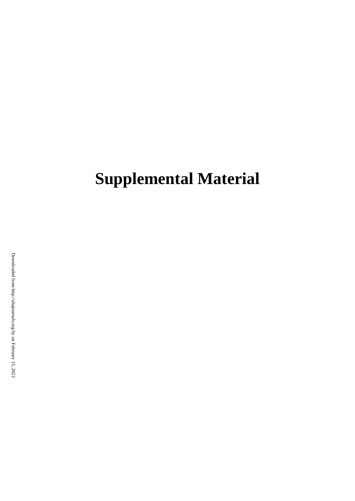# **Supplemental Material**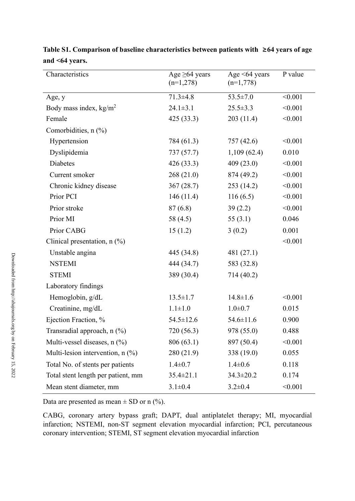| Characteristics                    | Age $\geq 64$ years<br>$(n=1,278)$ | Age $\leq 64$ years<br>$(n=1,778)$ | P value |
|------------------------------------|------------------------------------|------------------------------------|---------|
| Age, y                             | $71.3 \pm 4.8$                     | $53.5 \pm 7.0$                     | < 0.001 |
| Body mass index, $kg/m2$           | $24.1 \pm 3.1$                     | $25.5 \pm 3.3$                     | < 0.001 |
| Female                             | 425 (33.3)                         | 203(11.4)                          | < 0.001 |
| Comorbidities, $n$ $(\%)$          |                                    |                                    |         |
| Hypertension                       | 784 (61.3)                         | 757 (42.6)                         | < 0.001 |
| Dyslipidemia                       | 737(57.7)                          | 1,109(62.4)                        | 0.010   |
| Diabetes                           | 426 (33.3)                         | 409(23.0)                          | < 0.001 |
| Current smoker                     | 268(21.0)                          | 874 (49.2)                         | < 0.001 |
| Chronic kidney disease             | 367(28.7)                          | 253 (14.2)                         | < 0.001 |
| Prior PCI                          | 146(11.4)                          | 116(6.5)                           | < 0.001 |
| Prior stroke                       | 87(6.8)                            | 39(2.2)                            | < 0.001 |
| Prior MI                           | 58 (4.5)                           | 55 $(3.1)$                         | 0.046   |
| Prior CABG                         | 15(1.2)                            | 3(0.2)                             | 0.001   |
| Clinical presentation, $n$ (%)     |                                    |                                    | < 0.001 |
| Unstable angina                    | 445 (34.8)                         | 481 (27.1)                         |         |
| <b>NSTEMI</b>                      | 444 (34.7)                         | 583 (32.8)                         |         |
| <b>STEMI</b>                       | 389 (30.4)                         | 714 (40.2)                         |         |
| Laboratory findings                |                                    |                                    |         |
| Hemoglobin, g/dL                   | $13.5 \pm 1.7$                     | $14.8 \pm 1.6$                     | < 0.001 |
| Creatinine, mg/dL                  | $1.1 \pm 1.0$                      | $1.0 \pm 0.7$                      | 0.015   |
| Ejection Fraction, %               | $54.5 \pm 12.6$                    | $54.6 \pm 11.6$                    | 0.900   |
| Transradial approach, n (%)        | 720 (56.3)                         | 978 (55.0)                         | 0.488   |
| Multi-vessel diseases, $n$ (%)     | 806 (63.1)                         | 897 (50.4)                         | < 0.001 |
| Multi-lesion intervention, $n$ (%) | 280 (21.9)                         | 338 (19.0)                         | 0.055   |
| Total No. of stents per patients   | $1.4 \pm 0.7$                      | $1.4 \pm 0.6$                      | 0.118   |
| Total stent length per patient, mm | $35.4 \pm 21.1$                    | $34.3 \pm 20.2$                    | 0.174   |
| Mean stent diameter, mm            | $3.1 \pm 0.4$                      | $3.2 \pm 0.4$                      | < 0.001 |

**Table S1. Comparison of baseline characteristics between patients with ≥64 years of age and <64 years.**

Data are presented as mean  $\pm$  SD or n (%).

CABG, coronary artery bypass graft; DAPT, dual antiplatelet therapy; MI, myocardial infarction; NSTEMI, non-ST segment elevation myocardial infarction; PCI, percutaneous coronary intervention; STEMI, ST segment elevation myocardial infarction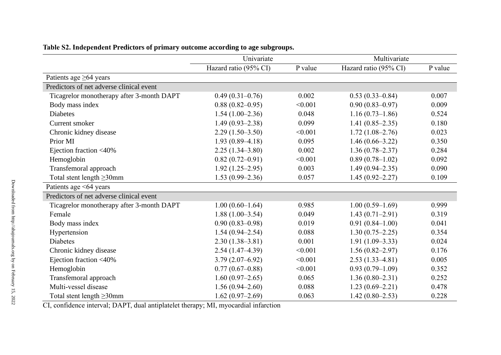|                                           | Univariate            |         | Multivariate          |         |
|-------------------------------------------|-----------------------|---------|-----------------------|---------|
|                                           | Hazard ratio (95% CI) | P value | Hazard ratio (95% CI) | P value |
| Patients age $\geq 64$ years              |                       |         |                       |         |
| Predictors of net adverse clinical event  |                       |         |                       |         |
| Ticagrelor monotherapy after 3-month DAPT | $0.49(0.31-0.76)$     | 0.002   | $0.53(0.33-0.84)$     | 0.007   |
| Body mass index                           | $0.88(0.82 - 0.95)$   | < 0.001 | $0.90(0.83 - 0.97)$   | 0.009   |
| <b>Diabetes</b>                           | $1.54(1.00-2.36)$     | 0.048   | $1.16(0.73-1.86)$     | 0.524   |
| Current smoker                            | $1.49(0.93 - 2.38)$   | 0.099   | $1.41(0.85-2.35)$     | 0.180   |
| Chronic kidney disease                    | $2.29(1.50-3.50)$     | < 0.001 | $1.72(1.08-2.76)$     | 0.023   |
| Prior MI                                  | $1.93(0.89 - 4.18)$   | 0.095   | $1.46(0.66-3.22)$     | 0.350   |
| Ejection fraction <40%                    | $2.25(1.34 - 3.80)$   | 0.002   | $1.36(0.78 - 2.37)$   | 0.284   |
| Hemoglobin                                | $0.82(0.72-0.91)$     | < 0.001 | $0.89(0.78-1.02)$     | 0.092   |
| Transfemoral approach                     | $1.92(1.25-2.95)$     | 0.003   | $1.49(0.94 - 2.35)$   | 0.090   |
| Total stent length $\geq$ 30mm            | $1.53(0.99 - 2.36)$   | 0.057   | $1.45(0.92 - 2.27)$   | 0.109   |
| Patients age <64 years                    |                       |         |                       |         |
| Predictors of net adverse clinical event  |                       |         |                       |         |
| Ticagrelor monotherapy after 3-month DAPT | $1.00(0.60-1.64)$     | 0.985   | $1.00(0.59-1.69)$     | 0.999   |
| Female                                    | $1.88(1.00-3.54)$     | 0.049   | $1.43(0.71-2.91)$     | 0.319   |
| Body mass index                           | $0.90(0.83 - 0.98)$   | 0.019   | $0.91(0.84-1.00)$     | 0.041   |
| Hypertension                              | $1.54(0.94 - 2.54)$   | 0.088   | $1.30(0.75-2.25)$     | 0.354   |
| Diabetes                                  | $2.30(1.38-3.81)$     | 0.001   | $1.91(1.09-3.33)$     | 0.024   |
| Chronic kidney disease                    | $2.54(1.47-4.39)$     | < 0.001 | $1.56(0.82 - 2.97)$   | 0.176   |
| Ejection fraction <40%                    | $3.79(2.07-6.92)$     | < 0.001 | $2.53(1.33-4.81)$     | 0.005   |
| Hemoglobin                                | $0.77(0.67-0.88)$     | < 0.001 | $0.93(0.79-1.09)$     | 0.352   |
| Transfemoral approach                     | $1.60(0.97-2.65)$     | 0.065   | $1.36(0.80-2.31)$     | 0.252   |
| Multi-vessel disease                      | $1.56(0.94-2.60)$     | 0.088   | $1.23(0.69-2.21)$     | 0.478   |
| Total stent length $\geq$ 30mm            | $1.62(0.97-2.69)$     | 0.063   | $1.42(0.80-2.53)$     | 0.228   |

| Table S2. Independent Predictors of primary outcome according to age subgroups. |  |  |  |
|---------------------------------------------------------------------------------|--|--|--|
|                                                                                 |  |  |  |
|                                                                                 |  |  |  |
|                                                                                 |  |  |  |

CI, confidence interval; DAPT, dual antiplatelet therapy; MI, myocardial infarction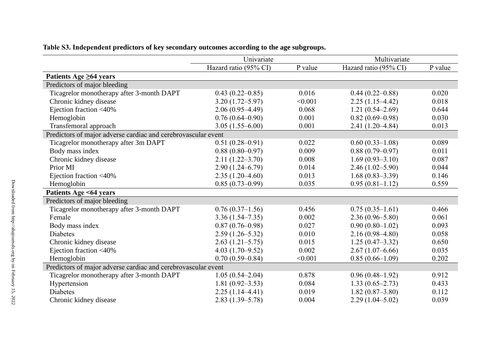|                                                               | Univariate            |         | Multivariate          |         |
|---------------------------------------------------------------|-----------------------|---------|-----------------------|---------|
|                                                               | Hazard ratio (95% CI) | P value | Hazard ratio (95% CI) | P value |
| Patients Age $\geq 64$ years                                  |                       |         |                       |         |
| Predictors of major bleeding                                  |                       |         |                       |         |
| Ticagrelor monotherapy after 3-month DAPT                     | $0.43(0.22 - 0.85)$   | 0.016   | $0.44(0.22 - 0.88)$   | 0.020   |
| Chronic kidney disease                                        | $3.20(1.72 - 5.97)$   | < 0.001 | $2.25(1.15-4.42)$     | 0.018   |
| Ejection fraction <40%                                        | $2.06(0.95-4.49)$     | 0.068   | $1.21(0.54 - 2.69)$   | 0.644   |
| Hemoglobin                                                    | $0.76(0.64 - 0.90)$   | 0.001   | $0.82(0.69 - 0.98)$   | 0.030   |
| Transfemoral approach                                         | $3.05(1.55 - 6.00)$   | 0.001   | $2.41(1.20-4.84)$     | 0.013   |
| Predictors of major adverse cardiac and cerebrovascular event |                       |         |                       |         |
| Ticagrelor monotherapy after 3m DAPT                          | $0.51(0.28 - 0.91)$   | 0.022   | $0.60(0.33-1.08)$     | 0.089   |
| Body mass index                                               | $0.88(0.80-0.97)$     | 0.009   | $0.88(0.79-0.97)$     | 0.011   |
| Chronic kidney disease                                        | $2.11(1.22 - 3.70)$   | 0.008   | $1.69(0.93 - 3.10)$   | 0.087   |
| Prior MI                                                      | $2.90(1.24 - 6.79)$   | 0.014   | $2.46(1.02 - 5.90)$   | 0.044   |
| Ejection fraction <40%                                        | $2.35(1.20-4.60)$     | 0.013   | $1.68(0.83 - 3.39)$   | 0.146   |
| Hemoglobin                                                    | $0.85(0.73-0.99)$     | 0.035   | $0.95(0.81-1.12)$     | 0.559   |
| Patients Age <64 years                                        |                       |         |                       |         |
| Predictors of major bleeding                                  |                       |         |                       |         |
| Ticagrelor monotherapy after 3-month DAPT                     | $0.76(0.37-1.56)$     | 0.456   | $0.75(0.35-1.61)$     | 0.466   |
| Female                                                        | $3.36(1.54 - 7.35)$   | 0.002   | $2.36(0.96 - 5.80)$   | 0.061   |
| Body mass index                                               | $0.87(0.76-0.98)$     | 0.027   | $0.90(0.80-1.02)$     | 0.093   |
| <b>Diabetes</b>                                               | $2.59(1.26 - 5.32)$   | 0.010   | $2.16(0.98-4.80)$     | 0.058   |
| Chronic kidney disease                                        | $2.63(1.21-5.75)$     | 0.015   | $1.25(0.47-3.32)$     | 0.650   |
| Ejection fraction <40%                                        | $4.03(1.70-9.52)$     | 0.002   | $2.67(1.07-6.66)$     | 0.035   |
| Hemoglobin                                                    | $0.70(0.59 - 0.84)$   | < 0.001 | $0.85(0.66-1.09)$     | 0.202   |
| Predictors of major adverse cardiac and cerebrovascular event |                       |         |                       |         |
| Ticagrelor monotherapy after 3-month DAPT                     | $1.05(0.54-2.04)$     | 0.878   | $0.96(0.48-1.92)$     | 0.912   |
| Hypertension                                                  | $1.81(0.92 - 3.53)$   | 0.084   | $1.33(0.65-2.73)$     | 0.433   |
| <b>Diabetes</b>                                               | $2.25(1.14-4.41)$     | 0.019   | $1.82(0.87-3.80)$     | 0.112   |
| Chronic kidney disease                                        | $2.83(1.39 - 5.78)$   | 0.004   | $2.29(1.04 - 5.02)$   | 0.039   |

## **Table S3. Independent predictors of key secondary outcomes according to the age subgroups.**